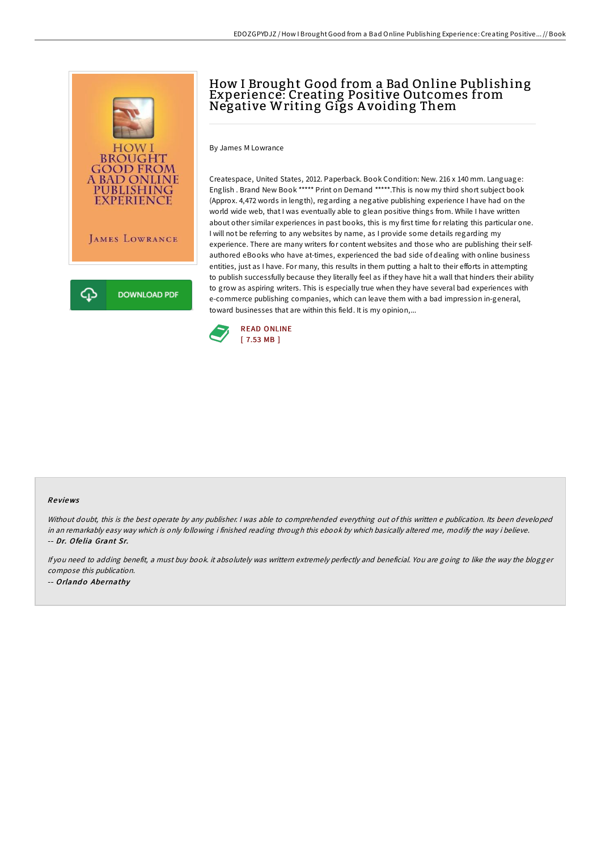

## How I Brought Good from a Bad Online Publishing Experience: Creating Positive Outcomes from Negative Writing Gigs A voiding Them

By James M Lowrance

Createspace, United States, 2012. Paperback. Book Condition: New. 216 x 140 mm. Language: English . Brand New Book \*\*\*\*\* Print on Demand \*\*\*\*\*.This is now my third short subject book (Approx. 4,472 words in length), regarding a negative publishing experience I have had on the world wide web, that I was eventually able to glean positive things from. While I have written about other similar experiences in past books, this is my first time for relating this particular one. I will not be referring to any websites by name, as I provide some details regarding my experience. There are many writers for content websites and those who are publishing their selfauthored eBooks who have at-times, experienced the bad side of dealing with online business entities, just as I have. For many, this results in them putting a halt to their efforts in attempting to publish successfully because they literally feel as if they have hit a wall that hinders their ability to grow as aspiring writers. This is especially true when they have several bad experiences with e-commerce publishing companies, which can leave them with a bad impression in-general, toward businesses that are within this field. It is my opinion,...



## Re views

Without doubt, this is the best operate by any publisher. <sup>I</sup> was able to comprehended everything out of this written <sup>e</sup> publication. Its been developed in an remarkably easy way which is only following i finished reading through this ebook by which basically altered me, modify the way i believe. -- Dr. Ofe lia Grant Sr.

If you need to adding benefit, <sup>a</sup> must buy book. it absolutely was writtern extremely perfectly and beneficial. You are going to like the way the blogger compose this publication. -- Orlando Abernathy